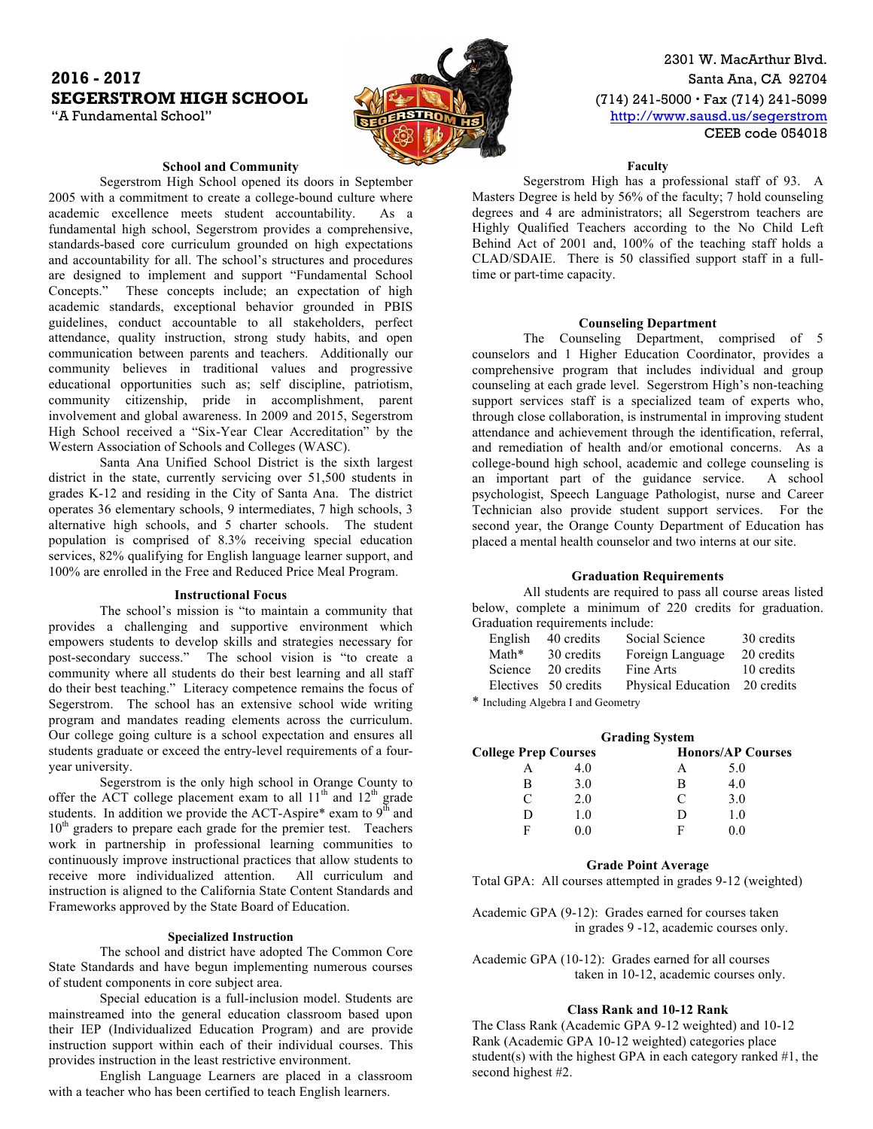## **2016 - 2017** Santa Ana, CA 92704 **SEGERSTROM HIGH SCHOOL (714) 241-5000 · Fax (714) 241-5099**



2301 W. MacArthur Blvd. "A Fundamental School" **http://www.sausd.us/segerstrom** CEEB code 054018

## **School and Community**

Segerstrom High School opened its doors in September 2005 with a commitment to create a college-bound culture where academic excellence meets student accountability. As a fundamental high school, Segerstrom provides a comprehensive, standards-based core curriculum grounded on high expectations and accountability for all. The school's structures and procedures are designed to implement and support "Fundamental School Concepts." These concepts include; an expectation of high academic standards, exceptional behavior grounded in PBIS guidelines, conduct accountable to all stakeholders, perfect attendance, quality instruction, strong study habits, and open communication between parents and teachers. Additionally our community believes in traditional values and progressive educational opportunities such as; self discipline, patriotism, community citizenship, pride in accomplishment, parent involvement and global awareness. In 2009 and 2015, Segerstrom High School received a "Six-Year Clear Accreditation" by the Western Association of Schools and Colleges (WASC).

Santa Ana Unified School District is the sixth largest district in the state, currently servicing over 51,500 students in grades K-12 and residing in the City of Santa Ana. The district operates 36 elementary schools, 9 intermediates, 7 high schools, 3 alternative high schools, and 5 charter schools. The student population is comprised of 8.3% receiving special education services, 82% qualifying for English language learner support, and 100% are enrolled in the Free and Reduced Price Meal Program.

#### **Instructional Focus**

The school's mission is "to maintain a community that provides a challenging and supportive environment which empowers students to develop skills and strategies necessary for post-secondary success." The school vision is "to create a community where all students do their best learning and all staff do their best teaching." Literacy competence remains the focus of Segerstrom. The school has an extensive school wide writing program and mandates reading elements across the curriculum. Our college going culture is a school expectation and ensures all students graduate or exceed the entry-level requirements of a fouryear university.

Segerstrom is the only high school in Orange County to offer the ACT college placement exam to all  $11<sup>th</sup>$  and  $12<sup>th</sup>$  grade students. In addition we provide the ACT-Aspire\* exam to  $9<sup>th</sup>$  and 10<sup>th</sup> graders to prepare each grade for the premier test. Teachers work in partnership in professional learning communities to continuously improve instructional practices that allow students to receive more individualized attention. All curriculum and instruction is aligned to the California State Content Standards and Frameworks approved by the State Board of Education.

#### **Specialized Instruction**

The school and district have adopted The Common Core State Standards and have begun implementing numerous courses of student components in core subject area.

Special education is a full-inclusion model. Students are mainstreamed into the general education classroom based upon their IEP (Individualized Education Program) and are provide instruction support within each of their individual courses. This provides instruction in the least restrictive environment.

English Language Learners are placed in a classroom with a teacher who has been certified to teach English learners.

**Faculty**

Segerstrom High has a professional staff of 93. A Masters Degree is held by 56% of the faculty; 7 hold counseling degrees and 4 are administrators; all Segerstrom teachers are Highly Qualified Teachers according to the No Child Left Behind Act of 2001 and, 100% of the teaching staff holds a CLAD/SDAIE. There is 50 classified support staff in a fulltime or part-time capacity.

#### **Counseling Department**

The Counseling Department, comprised of 5 counselors and 1 Higher Education Coordinator, provides a comprehensive program that includes individual and group counseling at each grade level. Segerstrom High's non-teaching support services staff is a specialized team of experts who, through close collaboration, is instrumental in improving student attendance and achievement through the identification, referral, and remediation of health and/or emotional concerns. As a college-bound high school, academic and college counseling is an important part of the guidance service. A school psychologist, Speech Language Pathologist, nurse and Career Technician also provide student support services. For the second year, the Orange County Department of Education has placed a mental health counselor and two interns at our site.

#### **Graduation Requirements**

All students are required to pass all course areas listed below, complete a minimum of 220 credits for graduation. Graduation requirements include:

| English | 40 credits                                                            | Social Science     | 30 credits |
|---------|-----------------------------------------------------------------------|--------------------|------------|
| Math*   | 30 credits                                                            | Foreign Language   | 20 credits |
| Science | 20 credits                                                            | Fine Arts          | 10 credits |
|         | Electives 50 credits                                                  | Physical Education | 20 credits |
|         | $*$ Letter the state of the state of $\alpha$ . The state of $\alpha$ |                    |            |

\* Including Algebra I and Geometry

|                             |     | <b>Grading System</b> |                          |
|-----------------------------|-----|-----------------------|--------------------------|
| <b>College Prep Courses</b> |     |                       | <b>Honors/AP Courses</b> |
|                             | 40  | А                     | 5.0                      |
| B                           | 3.0 | В                     | 4.0                      |
| C                           | 2.0 | $\subset$             | 3.0                      |
| Ð                           | 10  | I)                    | 1.0                      |
| Е                           | 0 ( | F                     | () ()                    |

#### **Grade Point Average**

Total GPA: All courses attempted in grades 9-12 (weighted)

Academic GPA (9-12): Grades earned for courses taken in grades 9 -12, academic courses only.

Academic GPA (10-12): Grades earned for all courses taken in 10-12, academic courses only.

### **Class Rank and 10-12 Rank**

The Class Rank (Academic GPA 9-12 weighted) and 10-12 Rank (Academic GPA 10-12 weighted) categories place student(s) with the highest GPA in each category ranked  $#1$ , the second highest #2.